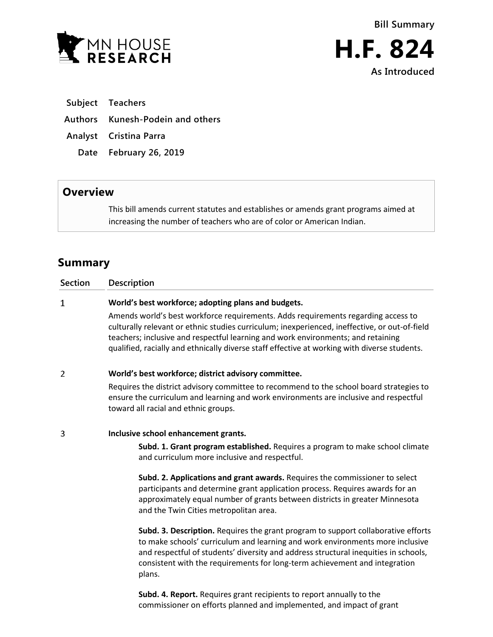



**H.F. 824 As Introduced**

- **Subject Teachers**
- **Authors Kunesh-Podein and others**
- **Analyst Cristina Parra**
	- **Date February 26, 2019**

## **Overview**

This bill amends current statutes and establishes or amends grant programs aimed at increasing the number of teachers who are of color or American Indian.

# **Summary**

| <b>Section</b> | Description                                                                                                                                                                                                                                                                                                                                                            |
|----------------|------------------------------------------------------------------------------------------------------------------------------------------------------------------------------------------------------------------------------------------------------------------------------------------------------------------------------------------------------------------------|
| $\mathbf{1}$   | World's best workforce; adopting plans and budgets.                                                                                                                                                                                                                                                                                                                    |
|                | Amends world's best workforce requirements. Adds requirements regarding access to<br>culturally relevant or ethnic studies curriculum; inexperienced, ineffective, or out-of-field<br>teachers; inclusive and respectful learning and work environments; and retaining<br>qualified, racially and ethnically diverse staff effective at working with diverse students. |
| 2              | World's best workforce; district advisory committee.                                                                                                                                                                                                                                                                                                                   |
|                | Requires the district advisory committee to recommend to the school board strategies to<br>ensure the curriculum and learning and work environments are inclusive and respectful<br>toward all racial and ethnic groups.                                                                                                                                               |
| 3              | Inclusive school enhancement grants.                                                                                                                                                                                                                                                                                                                                   |
|                | Subd. 1. Grant program established. Requires a program to make school climate<br>and curriculum more inclusive and respectful.                                                                                                                                                                                                                                         |
|                | Subd. 2. Applications and grant awards. Requires the commissioner to select<br>participants and determine grant application process. Requires awards for an<br>approximately equal number of grants between districts in greater Minnesota<br>and the Twin Cities metropolitan area.                                                                                   |
|                | Subd. 3. Description. Requires the grant program to support collaborative efforts<br>to make schools' curriculum and learning and work environments more inclusive<br>and respectful of students' diversity and address structural inequities in schools,<br>consistent with the requirements for long-term achievement and integration<br>plans.                      |

**Subd. 4. Report.** Requires grant recipients to report annually to the commissioner on efforts planned and implemented, and impact of grant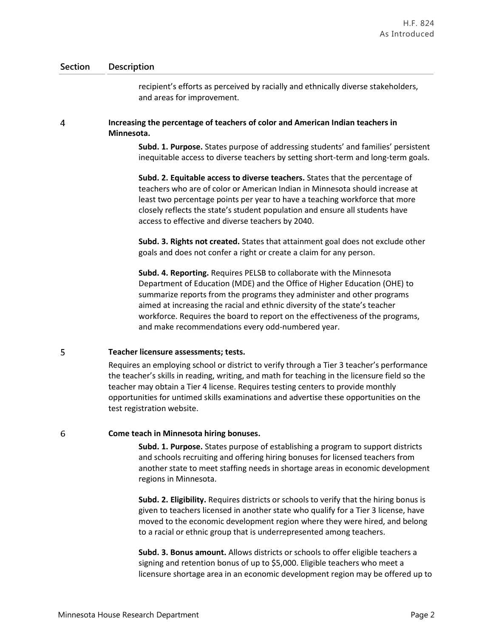recipient's efforts as perceived by racially and ethnically diverse stakeholders, and areas for improvement.

### 4 **Increasing the percentage of teachers of color and American Indian teachers in Minnesota.**

**Subd. 1. Purpose.** States purpose of addressing students' and families' persistent inequitable access to diverse teachers by setting short-term and long-term goals.

**Subd. 2. Equitable access to diverse teachers.** States that the percentage of teachers who are of color or American Indian in Minnesota should increase at least two percentage points per year to have a teaching workforce that more closely reflects the state's student population and ensure all students have access to effective and diverse teachers by 2040.

**Subd. 3. Rights not created.** States that attainment goal does not exclude other goals and does not confer a right or create a claim for any person.

**Subd. 4. Reporting.** Requires PELSB to collaborate with the Minnesota Department of Education (MDE) and the Office of Higher Education (OHE) to summarize reports from the programs they administer and other programs aimed at increasing the racial and ethnic diversity of the state's teacher workforce. Requires the board to report on the effectiveness of the programs, and make recommendations every odd-numbered year.

#### 5 **Teacher licensure assessments; tests.**

Requires an employing school or district to verify through a Tier 3 teacher's performance the teacher's skills in reading, writing, and math for teaching in the licensure field so the teacher may obtain a Tier 4 license. Requires testing centers to provide monthly opportunities for untimed skills examinations and advertise these opportunities on the test registration website.

#### 6 **Come teach in Minnesota hiring bonuses.**

**Subd. 1. Purpose.** States purpose of establishing a program to support districts and schools recruiting and offering hiring bonuses for licensed teachers from another state to meet staffing needs in shortage areas in economic development regions in Minnesota.

**Subd. 2. Eligibility.** Requires districts or schools to verify that the hiring bonus is given to teachers licensed in another state who qualify for a Tier 3 license, have moved to the economic development region where they were hired, and belong to a racial or ethnic group that is underrepresented among teachers.

**Subd. 3. Bonus amount.** Allows districts or schools to offer eligible teachers a signing and retention bonus of up to \$5,000. Eligible teachers who meet a licensure shortage area in an economic development region may be offered up to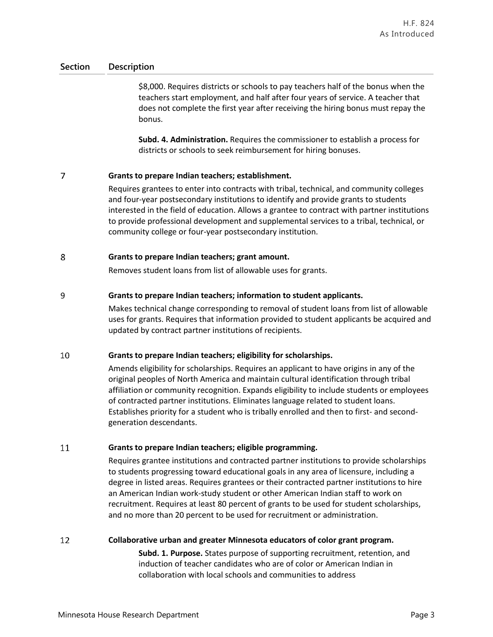\$8,000. Requires districts or schools to pay teachers half of the bonus when the teachers start employment, and half after four years of service. A teacher that does not complete the first year after receiving the hiring bonus must repay the bonus.

**Subd. 4. Administration.** Requires the commissioner to establish a process for districts or schools to seek reimbursement for hiring bonuses.

#### $\overline{7}$ **Grants to prepare Indian teachers; establishment.**

Requires grantees to enter into contracts with tribal, technical, and community colleges and four-year postsecondary institutions to identify and provide grants to students interested in the field of education. Allows a grantee to contract with partner institutions to provide professional development and supplemental services to a tribal, technical, or community college or four-year postsecondary institution.

#### 8 **Grants to prepare Indian teachers; grant amount.**

Removes student loans from list of allowable uses for grants.

#### 9 **Grants to prepare Indian teachers; information to student applicants.**

Makes technical change corresponding to removal of student loans from list of allowable uses for grants. Requires that information provided to student applicants be acquired and updated by contract partner institutions of recipients.

#### 10 **Grants to prepare Indian teachers; eligibility for scholarships.**

Amends eligibility for scholarships. Requires an applicant to have origins in any of the original peoples of North America and maintain cultural identification through tribal affiliation or community recognition. Expands eligibility to include students or employees of contracted partner institutions. Eliminates language related to student loans. Establishes priority for a student who is tribally enrolled and then to first- and secondgeneration descendants.

#### 11 **Grants to prepare Indian teachers; eligible programming.**

Requires grantee institutions and contracted partner institutions to provide scholarships to students progressing toward educational goals in any area of licensure, including a degree in listed areas. Requires grantees or their contracted partner institutions to hire an American Indian work-study student or other American Indian staff to work on recruitment. Requires at least 80 percent of grants to be used for student scholarships, and no more than 20 percent to be used for recruitment or administration.

#### 12 **Collaborative urban and greater Minnesota educators of color grant program.**

**Subd. 1. Purpose.** States purpose of supporting recruitment, retention, and induction of teacher candidates who are of color or American Indian in collaboration with local schools and communities to address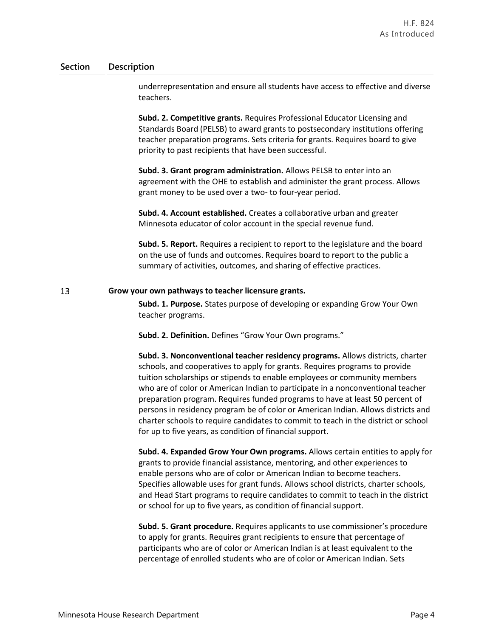underrepresentation and ensure all students have access to effective and diverse teachers.

**Subd. 2. Competitive grants.** Requires Professional Educator Licensing and Standards Board (PELSB) to award grants to postsecondary institutions offering teacher preparation programs. Sets criteria for grants. Requires board to give priority to past recipients that have been successful.

**Subd. 3. Grant program administration.** Allows PELSB to enter into an agreement with the OHE to establish and administer the grant process. Allows grant money to be used over a two- to four-year period.

**Subd. 4. Account established.** Creates a collaborative urban and greater Minnesota educator of color account in the special revenue fund.

**Subd. 5. Report.** Requires a recipient to report to the legislature and the board on the use of funds and outcomes. Requires board to report to the public a summary of activities, outcomes, and sharing of effective practices.

#### 13 **Grow your own pathways to teacher licensure grants.**

**Subd. 1. Purpose.** States purpose of developing or expanding Grow Your Own teacher programs.

**Subd. 2. Definition.** Defines "Grow Your Own programs."

**Subd. 3. Nonconventional teacher residency programs.** Allows districts, charter schools, and cooperatives to apply for grants. Requires programs to provide tuition scholarships or stipends to enable employees or community members who are of color or American Indian to participate in a nonconventional teacher preparation program. Requires funded programs to have at least 50 percent of persons in residency program be of color or American Indian. Allows districts and charter schools to require candidates to commit to teach in the district or school for up to five years, as condition of financial support.

**Subd. 4. Expanded Grow Your Own programs.** Allows certain entities to apply for grants to provide financial assistance, mentoring, and other experiences to enable persons who are of color or American Indian to become teachers. Specifies allowable uses for grant funds. Allows school districts, charter schools, and Head Start programs to require candidates to commit to teach in the district or school for up to five years, as condition of financial support.

**Subd. 5. Grant procedure.** Requires applicants to use commissioner's procedure to apply for grants. Requires grant recipients to ensure that percentage of participants who are of color or American Indian is at least equivalent to the percentage of enrolled students who are of color or American Indian. Sets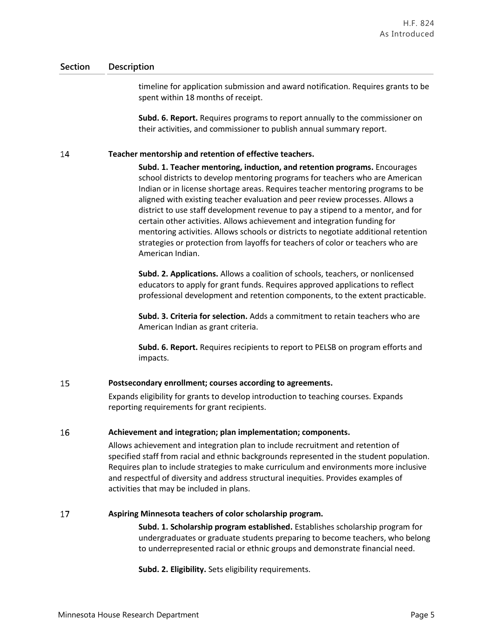timeline for application submission and award notification. Requires grants to be spent within 18 months of receipt.

**Subd. 6. Report.** Requires programs to report annually to the commissioner on their activities, and commissioner to publish annual summary report.

#### 14 **Teacher mentorship and retention of effective teachers.**

**Subd. 1. Teacher mentoring, induction, and retention programs.** Encourages school districts to develop mentoring programs for teachers who are American Indian or in license shortage areas. Requires teacher mentoring programs to be aligned with existing teacher evaluation and peer review processes. Allows a district to use staff development revenue to pay a stipend to a mentor, and for certain other activities. Allows achievement and integration funding for mentoring activities. Allows schools or districts to negotiate additional retention strategies or protection from layoffs for teachers of color or teachers who are American Indian.

**Subd. 2. Applications.** Allows a coalition of schools, teachers, or nonlicensed educators to apply for grant funds. Requires approved applications to reflect professional development and retention components, to the extent practicable.

**Subd. 3. Criteria for selection.** Adds a commitment to retain teachers who are American Indian as grant criteria.

**Subd. 6. Report.** Requires recipients to report to PELSB on program efforts and impacts.

#### 15 **Postsecondary enrollment; courses according to agreements.**

Expands eligibility for grants to develop introduction to teaching courses. Expands reporting requirements for grant recipients.

#### 16 **Achievement and integration; plan implementation; components.**

Allows achievement and integration plan to include recruitment and retention of specified staff from racial and ethnic backgrounds represented in the student population. Requires plan to include strategies to make curriculum and environments more inclusive and respectful of diversity and address structural inequities. Provides examples of activities that may be included in plans.

#### 17 **Aspiring Minnesota teachers of color scholarship program.**

**Subd. 1. Scholarship program established.** Establishes scholarship program for undergraduates or graduate students preparing to become teachers, who belong to underrepresented racial or ethnic groups and demonstrate financial need.

**Subd. 2. Eligibility.** Sets eligibility requirements.